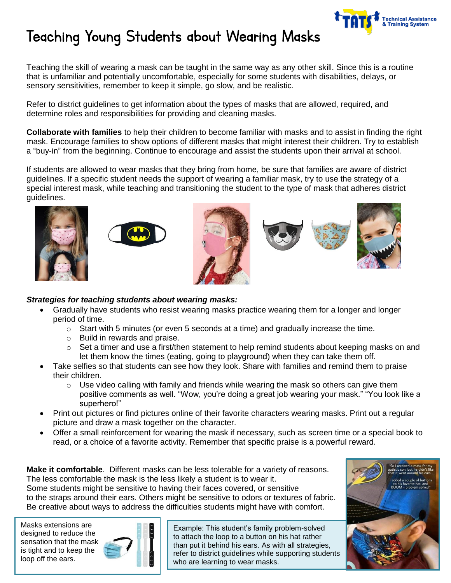

## Teaching Young Students about Wearing Masks

Teaching the skill of wearing a mask can be taught in the same way as any other skill. Since this is a routine that is unfamiliar and potentially uncomfortable, especially for some students with disabilities, delays, or sensory sensitivities, remember to keep it simple, go slow, and be realistic.

Refer to district guidelines to get information about the types of masks that are allowed, required, and determine roles and responsibilities for providing and cleaning masks.

**Collaborate with families** to help their children to become familiar with masks and to assist in finding the right mask. Encourage families to show options of different masks that might interest their children. Try to establish a "buy-in" from the beginning. Continue to encourage and assist the students upon their arrival at school.

If students are allowed to wear masks that they bring from home, be sure that families are aware of district guidelines. If a specific student needs the support of wearing a familiar mask, try to use the strategy of a special interest mask, while teaching and transitioning the student to the type of mask that adheres district guidelines.









## *Strategies for teaching students about wearing masks:*

- Gradually have students who resist wearing masks practice wearing them for a longer and longer period of time.
	- $\circ$  Start with 5 minutes (or even 5 seconds at a time) and gradually increase the time.
	- o Build in rewards and praise.
	- $\circ$  Set a timer and use a first/then statement to help remind students about keeping masks on and let them know the times (eating, going to playground) when they can take them off.
- Take selfies so that students can see how they look. Share with families and remind them to praise their children.
	- $\circ$  Use video calling with family and friends while wearing the mask so others can give them positive comments as well. "Wow, you're doing a great job wearing your mask." "You look like a superhero!"
- Print out pictures or find pictures online of their favorite characters wearing masks. Print out a regular picture and draw a mask together on the character.
- Offer a small reinforcement for wearing the mask if necessary, such as screen time or a special book to read, or a choice of a favorite activity. Remember that specific praise is a powerful reward.

**Make it comfortable**. Different masks can be less tolerable for a variety of reasons. The less comfortable the mask is the less likely a student is to wear it. Some students might be sensitive to having their faces covered, or sensitive to the straps around their ears. Others might be sensitive to odors or textures of fabric. Be creative about ways to address the difficulties students might have with comfort.

Masks extensions are designed to reduce the sensation that the mask is tight and to keep the loop off the ears.



Example: This student's family problem-solved to attach the loop to a button on his hat rather than put it behind his ears. As with all strategies, refer to district guidelines while supporting students who are learning to wear masks.

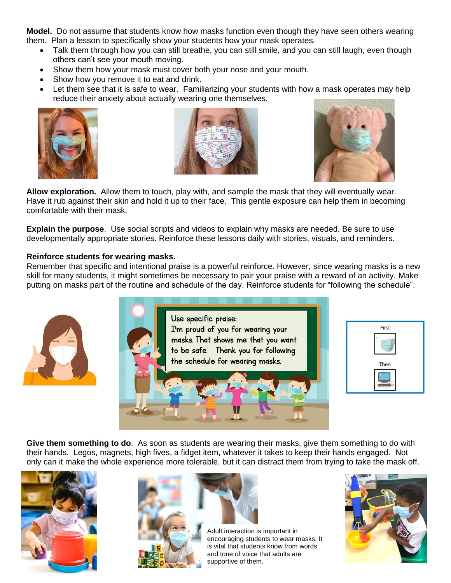**Model.** Do not assume that students know how masks function even though they have seen others wearing them. Plan a lesson to specifically show your students how your mask operates.

- Talk them through how you can still breathe, you can still smile, and you can still laugh, even though others can't see your mouth moving.
- Show them how your mask must cover both your nose and your mouth.
- Show how you remove it to eat and drink.
- Let them see that it is safe to wear. Familiarizing your students with how a mask operates may help reduce their anxiety about actually wearing one themselves.







**Allow exploration.** Allow them to touch, play with, and sample the mask that they will eventually wear. Have it rub against their skin and hold it up to their face. This gentle exposure can help them in becoming comfortable with their mask.

**Explain the purpose**. Use social scripts and videos to explain why masks are needed. Be sure to use developmentally appropriate stories. Reinforce these lessons daily with stories, visuals, and reminders.

## **Reinforce students for wearing masks.**

Remember that specific and intentional praise is a powerful reinforce. However, since wearing masks is a new skill for many students, it might sometimes be necessary to pair your praise with a reward of an activity. Make putting on masks part of the routine and schedule of the day. Reinforce students for "following the schedule".







**Give them something to do**. As soon as students are wearing their masks, give them something to do with their hands. Legos, magnets, high fives, a fidget item, whatever it takes to keep their hands engaged. Not only can it make the whole experience more tolerable, but it can distract them from trying to take the mask off.